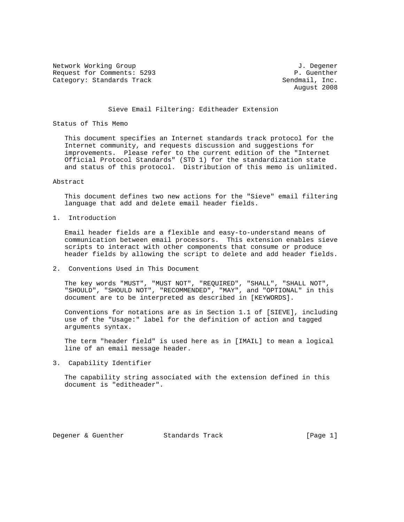Network Working Group J. Degener Request for Comments: 5293 P. Guenther<br>
Category: Standards Track entries and the Sendmail, Inc. Category: Standards Track

August 2008

#### Sieve Email Filtering: Editheader Extension

#### Status of This Memo

 This document specifies an Internet standards track protocol for the Internet community, and requests discussion and suggestions for improvements. Please refer to the current edition of the "Internet Official Protocol Standards" (STD 1) for the standardization state and status of this protocol. Distribution of this memo is unlimited.

### Abstract

 This document defines two new actions for the "Sieve" email filtering language that add and delete email header fields.

1. Introduction

 Email header fields are a flexible and easy-to-understand means of communication between email processors. This extension enables sieve scripts to interact with other components that consume or produce header fields by allowing the script to delete and add header fields.

2. Conventions Used in This Document

 The key words "MUST", "MUST NOT", "REQUIRED", "SHALL", "SHALL NOT", "SHOULD", "SHOULD NOT", "RECOMMENDED", "MAY", and "OPTIONAL" in this document are to be interpreted as described in [KEYWORDS].

 Conventions for notations are as in Section 1.1 of [SIEVE], including use of the "Usage:" label for the definition of action and tagged arguments syntax.

 The term "header field" is used here as in [IMAIL] to mean a logical line of an email message header.

3. Capability Identifier

 The capability string associated with the extension defined in this document is "editheader".

Degener & Guenther Standards Track [Page 1]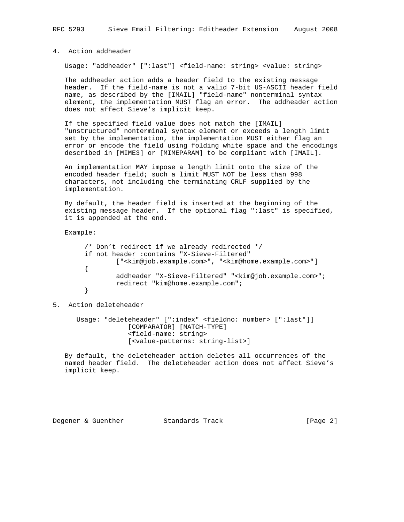# 4. Action addheader

Usage: "addheader" [":last"] <field-name: string> <value: string>

 The addheader action adds a header field to the existing message header. If the field-name is not a valid 7-bit US-ASCII header field name, as described by the [IMAIL] "field-name" nonterminal syntax element, the implementation MUST flag an error. The addheader action does not affect Sieve's implicit keep.

 If the specified field value does not match the [IMAIL] "unstructured" nonterminal syntax element or exceeds a length limit set by the implementation, the implementation MUST either flag an error or encode the field using folding white space and the encodings described in [MIME3] or [MIMEPARAM] to be compliant with [IMAIL].

 An implementation MAY impose a length limit onto the size of the encoded header field; such a limit MUST NOT be less than 998 characters, not including the terminating CRLF supplied by the implementation.

 By default, the header field is inserted at the beginning of the existing message header. If the optional flag ":last" is specified, it is appended at the end.

Example:

```
 /* Don't redirect if we already redirected */
 if not header :contains "X-Sieve-Filtered"
        ["<kim@job.example.com>", "<kim@home.example.com>"]
 {
         addheader "X-Sieve-Filtered" "<kim@job.example.com>";
         redirect "kim@home.example.com";
 }
```
# 5. Action deleteheader

 Usage: "deleteheader" [":index" <fieldno: number> [":last"]] [COMPARATOR] [MATCH-TYPE] <field-name: string> [<value-patterns: string-list>]

 By default, the deleteheader action deletes all occurrences of the named header field. The deleteheader action does not affect Sieve's implicit keep.

Degener & Guenther Standards Track [Page 2]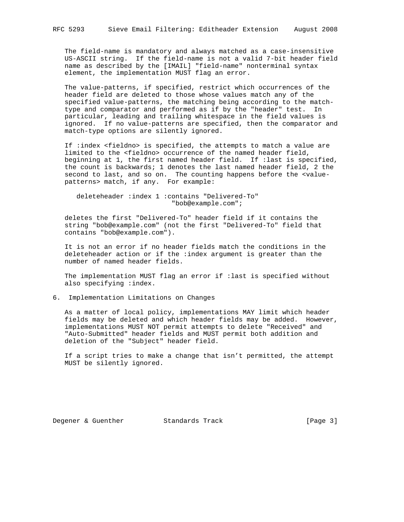The field-name is mandatory and always matched as a case-insensitive US-ASCII string. If the field-name is not a valid 7-bit header field name as described by the [IMAIL] "field-name" nonterminal syntax element, the implementation MUST flag an error.

 The value-patterns, if specified, restrict which occurrences of the header field are deleted to those whose values match any of the specified value-patterns, the matching being according to the match type and comparator and performed as if by the "header" test. In particular, leading and trailing whitespace in the field values is ignored. If no value-patterns are specified, then the comparator and match-type options are silently ignored.

 If :index <fieldno> is specified, the attempts to match a value are limited to the <fieldno> occurrence of the named header field, beginning at 1, the first named header field. If :last is specified, the count is backwards; 1 denotes the last named header field, 2 the second to last, and so on. The counting happens before the <value patterns> match, if any. For example:

 deleteheader :index 1 :contains "Delivered-To" "bob@example.com";

 deletes the first "Delivered-To" header field if it contains the string "bob@example.com" (not the first "Delivered-To" field that contains "bob@example.com").

 It is not an error if no header fields match the conditions in the deleteheader action or if the :index argument is greater than the number of named header fields.

 The implementation MUST flag an error if :last is specified without also specifying :index.

6. Implementation Limitations on Changes

 As a matter of local policy, implementations MAY limit which header fields may be deleted and which header fields may be added. However, implementations MUST NOT permit attempts to delete "Received" and "Auto-Submitted" header fields and MUST permit both addition and deletion of the "Subject" header field.

 If a script tries to make a change that isn't permitted, the attempt MUST be silently ignored.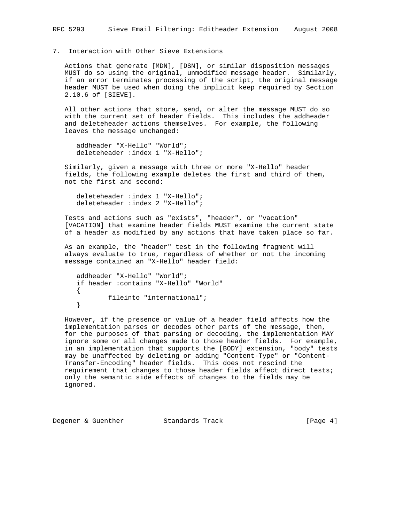# 7. Interaction with Other Sieve Extensions

 Actions that generate [MDN], [DSN], or similar disposition messages MUST do so using the original, unmodified message header. Similarly, if an error terminates processing of the script, the original message header MUST be used when doing the implicit keep required by Section 2.10.6 of [SIEVE].

 All other actions that store, send, or alter the message MUST do so with the current set of header fields. This includes the addheader and deleteheader actions themselves. For example, the following leaves the message unchanged:

 addheader "X-Hello" "World"; deleteheader :index 1 "X-Hello";

 Similarly, given a message with three or more "X-Hello" header fields, the following example deletes the first and third of them, not the first and second:

 deleteheader :index 1 "X-Hello"; deleteheader :index 2 "X-Hello";

 Tests and actions such as "exists", "header", or "vacation" [VACATION] that examine header fields MUST examine the current state of a header as modified by any actions that have taken place so far.

 As an example, the "header" test in the following fragment will always evaluate to true, regardless of whether or not the incoming message contained an "X-Hello" header field:

```
 addheader "X-Hello" "World";
 if header :contains "X-Hello" "World"
 {
        fileinto "international";
 }
```
 However, if the presence or value of a header field affects how the implementation parses or decodes other parts of the message, then, for the purposes of that parsing or decoding, the implementation MAY ignore some or all changes made to those header fields. For example, in an implementation that supports the [BODY] extension, "body" tests may be unaffected by deleting or adding "Content-Type" or "Content- Transfer-Encoding" header fields. This does not rescind the requirement that changes to those header fields affect direct tests; only the semantic side effects of changes to the fields may be ignored.

Degener & Guenther Standards Track (Page 4)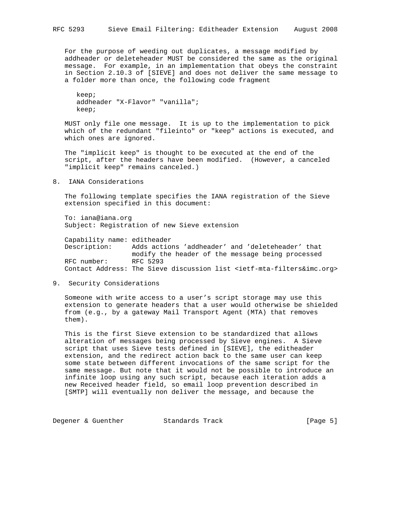For the purpose of weeding out duplicates, a message modified by addheader or deleteheader MUST be considered the same as the original message. For example, in an implementation that obeys the constraint in Section 2.10.3 of [SIEVE] and does not deliver the same message to a folder more than once, the following code fragment

 keep; addheader "X-Flavor" "vanilla"; keep;

 MUST only file one message. It is up to the implementation to pick which of the redundant "fileinto" or "keep" actions is executed, and which ones are ignored.

 The "implicit keep" is thought to be executed at the end of the script, after the headers have been modified. (However, a canceled "implicit keep" remains canceled.)

8. IANA Considerations

 The following template specifies the IANA registration of the Sieve extension specified in this document:

 To: iana@iana.org Subject: Registration of new Sieve extension

 Capability name: editheader Description: Adds actions 'addheader' and 'deleteheader' that modify the header of the message being processed RFC number: RFC 5293 Contact Address: The Sieve discussion list <ietf-mta-filters&imc.org>

9. Security Considerations

 Someone with write access to a user's script storage may use this extension to generate headers that a user would otherwise be shielded from (e.g., by a gateway Mail Transport Agent (MTA) that removes them).

 This is the first Sieve extension to be standardized that allows alteration of messages being processed by Sieve engines. A Sieve script that uses Sieve tests defined in [SIEVE], the editheader extension, and the redirect action back to the same user can keep some state between different invocations of the same script for the same message. But note that it would not be possible to introduce an infinite loop using any such script, because each iteration adds a new Received header field, so email loop prevention described in [SMTP] will eventually non deliver the message, and because the

Degener & Guenther Standards Track [Page 5]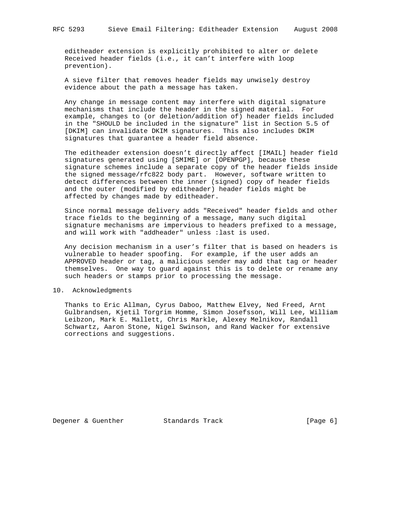editheader extension is explicitly prohibited to alter or delete Received header fields (i.e., it can't interfere with loop prevention).

 A sieve filter that removes header fields may unwisely destroy evidence about the path a message has taken.

 Any change in message content may interfere with digital signature mechanisms that include the header in the signed material. For example, changes to (or deletion/addition of) header fields included in the "SHOULD be included in the signature" list in Section 5.5 of [DKIM] can invalidate DKIM signatures. This also includes DKIM signatures that guarantee a header field absence.

 The editheader extension doesn't directly affect [IMAIL] header field signatures generated using [SMIME] or [OPENPGP], because these signature schemes include a separate copy of the header fields inside the signed message/rfc822 body part. However, software written to detect differences between the inner (signed) copy of header fields and the outer (modified by editheader) header fields might be affected by changes made by editheader.

 Since normal message delivery adds "Received" header fields and other trace fields to the beginning of a message, many such digital signature mechanisms are impervious to headers prefixed to a message, and will work with "addheader" unless :last is used.

 Any decision mechanism in a user's filter that is based on headers is vulnerable to header spoofing. For example, if the user adds an APPROVED header or tag, a malicious sender may add that tag or header themselves. One way to guard against this is to delete or rename any such headers or stamps prior to processing the message.

## 10. Acknowledgments

 Thanks to Eric Allman, Cyrus Daboo, Matthew Elvey, Ned Freed, Arnt Gulbrandsen, Kjetil Torgrim Homme, Simon Josefsson, Will Lee, William Leibzon, Mark E. Mallett, Chris Markle, Alexey Melnikov, Randall Schwartz, Aaron Stone, Nigel Swinson, and Rand Wacker for extensive corrections and suggestions.

Degener & Guenther Standards Track [Page 6]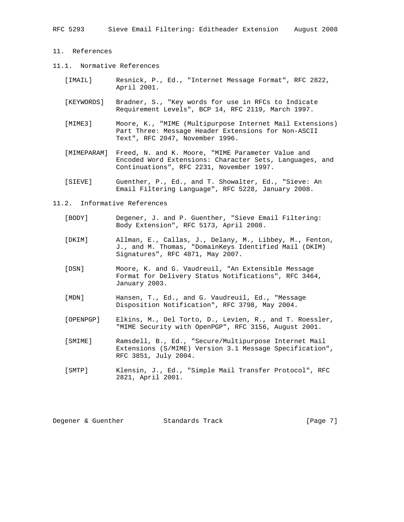- 11. References
- 11.1. Normative References
	- [IMAIL] Resnick, P., Ed., "Internet Message Format", RFC 2822, April 2001.
	- [KEYWORDS] Bradner, S., "Key words for use in RFCs to Indicate Requirement Levels", BCP 14, RFC 2119, March 1997.
	- [MIME3] Moore, K., "MIME (Multipurpose Internet Mail Extensions) Part Three: Message Header Extensions for Non-ASCII Text", RFC 2047, November 1996.
	- [MIMEPARAM] Freed, N. and K. Moore, "MIME Parameter Value and Encoded Word Extensions: Character Sets, Languages, and Continuations", RFC 2231, November 1997.
	- [SIEVE] Guenther, P., Ed., and T. Showalter, Ed., "Sieve: An Email Filtering Language", RFC 5228, January 2008.
- 11.2. Informative References
	- [BODY] Degener, J. and P. Guenther, "Sieve Email Filtering: Body Extension", RFC 5173, April 2008.
	- [DKIM] Allman, E., Callas, J., Delany, M., Libbey, M., Fenton, J., and M. Thomas, "DomainKeys Identified Mail (DKIM) Signatures", RFC 4871, May 2007.
	- [DSN] Moore, K. and G. Vaudreuil, "An Extensible Message Format for Delivery Status Notifications", RFC 3464, January 2003.
	- [MDN] Hansen, T., Ed., and G. Vaudreuil, Ed., "Message Disposition Notification", RFC 3798, May 2004.
	- [OPENPGP] Elkins, M., Del Torto, D., Levien, R., and T. Roessler, "MIME Security with OpenPGP", RFC 3156, August 2001.
	- [SMIME] Ramsdell, B., Ed., "Secure/Multipurpose Internet Mail Extensions (S/MIME) Version 3.1 Message Specification", RFC 3851, July 2004.
	- [SMTP] Klensin, J., Ed., "Simple Mail Transfer Protocol", RFC 2821, April 2001.

Degener & Guenther Standards Track [Page 7]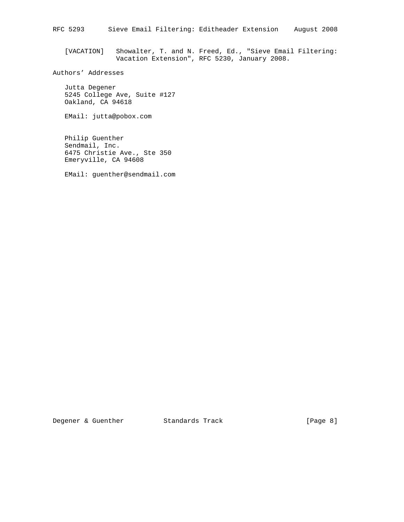[VACATION] Showalter, T. and N. Freed, Ed., "Sieve Email Filtering: Vacation Extension", RFC 5230, January 2008.

# Authors' Addresses

 Jutta Degener 5245 College Ave, Suite #127 Oakland, CA 94618

EMail: jutta@pobox.com

 Philip Guenther Sendmail, Inc. 6475 Christie Ave., Ste 350 Emeryville, CA 94608

EMail: guenther@sendmail.com